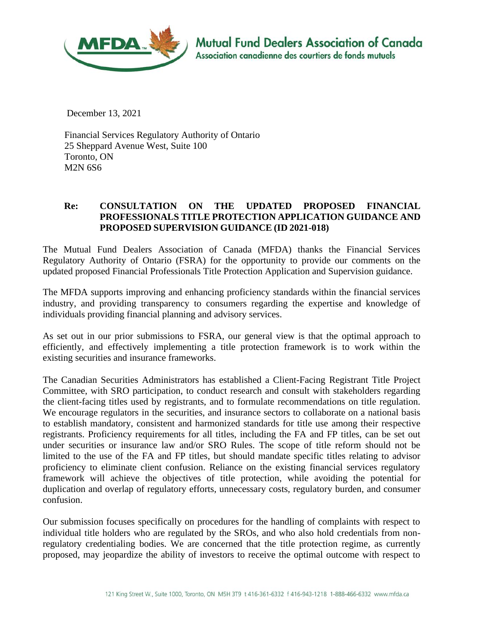

December 13, 2021

Financial Services Regulatory Authority of Ontario 25 Sheppard Avenue West, Suite 100 Toronto, ON M2N 6S6

## **Re: CONSULTATION ON THE UPDATED PROPOSED FINANCIAL PROFESSIONALS TITLE PROTECTION APPLICATION GUIDANCE AND PROPOSED SUPERVISION GUIDANCE (ID 2021-018)**

The Mutual Fund Dealers Association of Canada (MFDA) thanks the Financial Services Regulatory Authority of Ontario (FSRA) for the opportunity to provide our comments on the updated proposed Financial Professionals Title Protection Application and Supervision guidance.

The MFDA supports improving and enhancing proficiency standards within the financial services industry, and providing transparency to consumers regarding the expertise and knowledge of individuals providing financial planning and advisory services.

As set out in our prior submissions to FSRA, our general view is that the optimal approach to efficiently, and effectively implementing a title protection framework is to work within the existing securities and insurance frameworks.

The Canadian Securities Administrators has established a Client-Facing Registrant Title Project Committee, with SRO participation, to conduct research and consult with stakeholders regarding the client-facing titles used by registrants, and to formulate recommendations on title regulation. We encourage regulators in the securities, and insurance sectors to collaborate on a national basis to establish mandatory, consistent and harmonized standards for title use among their respective registrants. Proficiency requirements for all titles, including the FA and FP titles, can be set out under securities or insurance law and/or SRO Rules. The scope of title reform should not be limited to the use of the FA and FP titles, but should mandate specific titles relating to advisor proficiency to eliminate client confusion. Reliance on the existing financial services regulatory framework will achieve the objectives of title protection, while avoiding the potential for duplication and overlap of regulatory efforts, unnecessary costs, regulatory burden, and consumer confusion.

Our submission focuses specifically on procedures for the handling of complaints with respect to individual title holders who are regulated by the SROs, and who also hold credentials from nonregulatory credentialing bodies. We are concerned that the title protection regime, as currently proposed, may jeopardize the ability of investors to receive the optimal outcome with respect to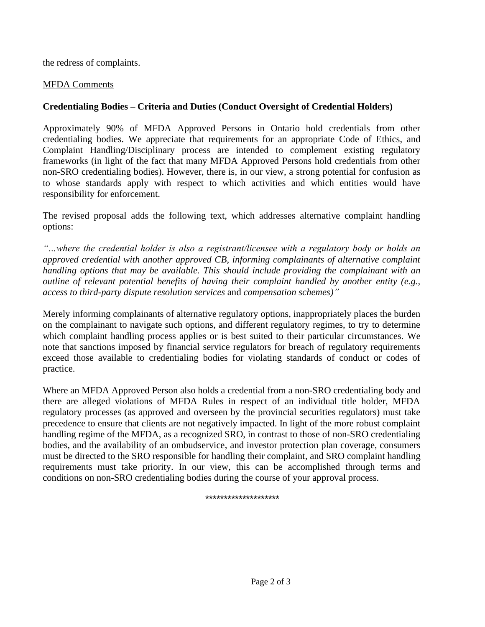the redress of complaints.

## MFDA Comments

## **Credentialing Bodies – Criteria and Duties (Conduct Oversight of Credential Holders)**

Approximately 90% of MFDA Approved Persons in Ontario hold credentials from other credentialing bodies. We appreciate that requirements for an appropriate Code of Ethics, and Complaint Handling/Disciplinary process are intended to complement existing regulatory frameworks (in light of the fact that many MFDA Approved Persons hold credentials from other non-SRO credentialing bodies). However, there is, in our view, a strong potential for confusion as to whose standards apply with respect to which activities and which entities would have responsibility for enforcement.

The revised proposal adds the following text, which addresses alternative complaint handling options:

*"…where the credential holder is also a registrant/licensee with a regulatory body or holds an approved credential with another approved CB, informing complainants of alternative complaint handling options that may be available. This should include providing the complainant with an outline of relevant potential benefits of having their complaint handled by another entity (e.g., access to third-party dispute resolution services* and *compensation schemes)"*

Merely informing complainants of alternative regulatory options, inappropriately places the burden on the complainant to navigate such options, and different regulatory regimes, to try to determine which complaint handling process applies or is best suited to their particular circumstances. We note that sanctions imposed by financial service regulators for breach of regulatory requirements exceed those available to credentialing bodies for violating standards of conduct or codes of practice.

Where an MFDA Approved Person also holds a credential from a non-SRO credentialing body and there are alleged violations of MFDA Rules in respect of an individual title holder, MFDA regulatory processes (as approved and overseen by the provincial securities regulators) must take precedence to ensure that clients are not negatively impacted. In light of the more robust complaint handling regime of the MFDA, as a recognized SRO, in contrast to those of non-SRO credentialing bodies, and the availability of an ombudservice, and investor protection plan coverage, consumers must be directed to the SRO responsible for handling their complaint, and SRO complaint handling requirements must take priority. In our view, this can be accomplished through terms and conditions on non-SRO credentialing bodies during the course of your approval process.

\*\*\*\*\*\*\*\*\*\*\*\*\*\*\*\*\*\*\*\*